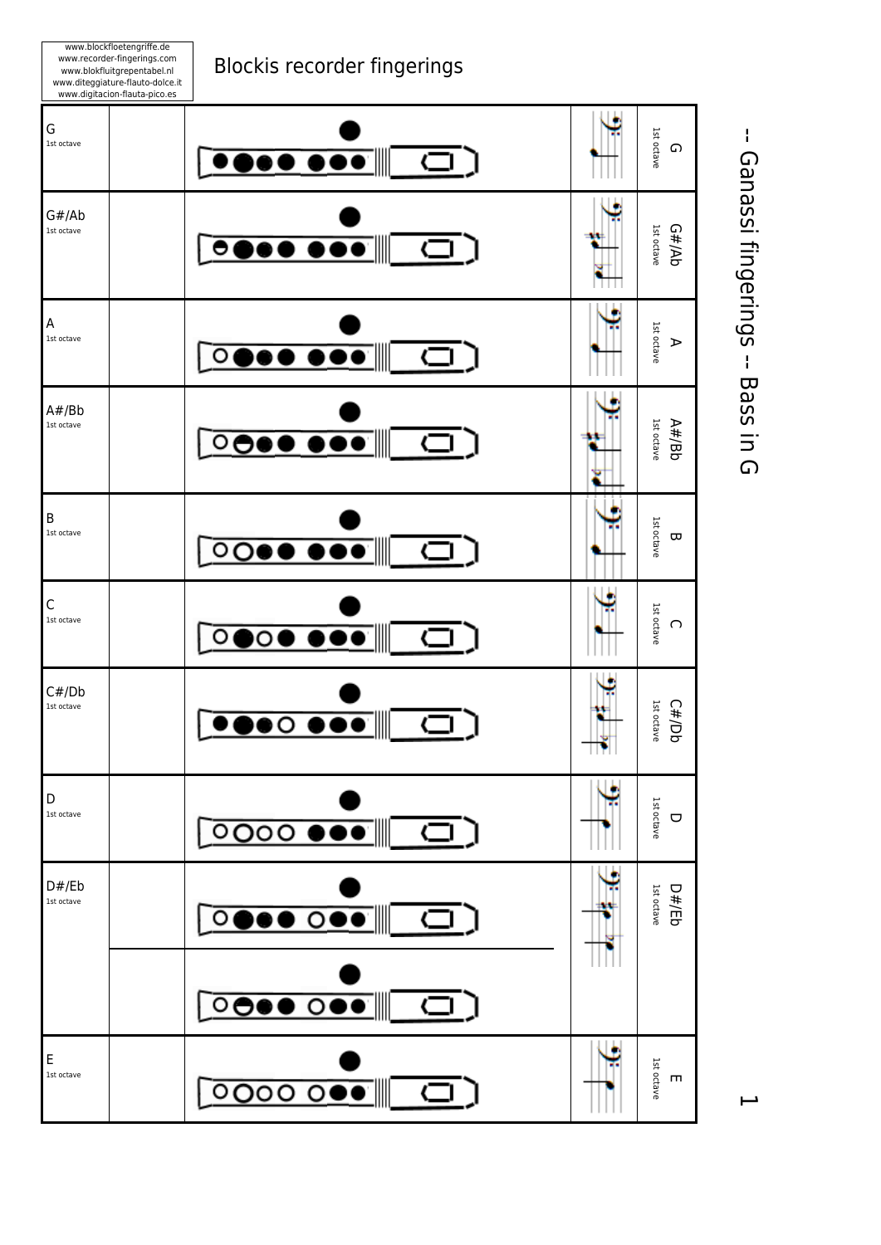

www.blockfloetengriffe.de

 -- Ganassi fingerings -- Bass in G -- Ganassi fingerings -- Bass in G

 $\overline{\phantom{0}}$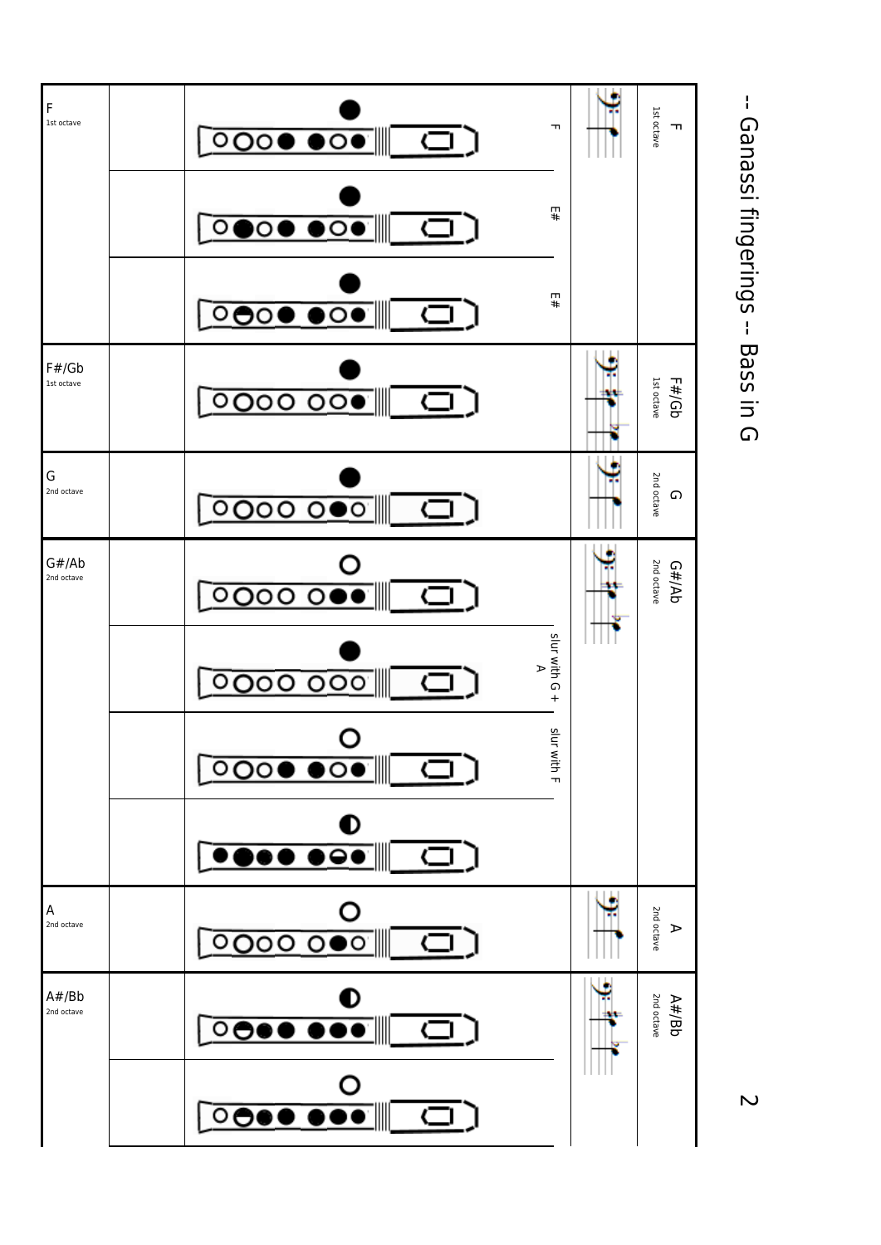

 -- Ganassi fingerings -- Bass in G -- Ganassi fingerings -- Bass in G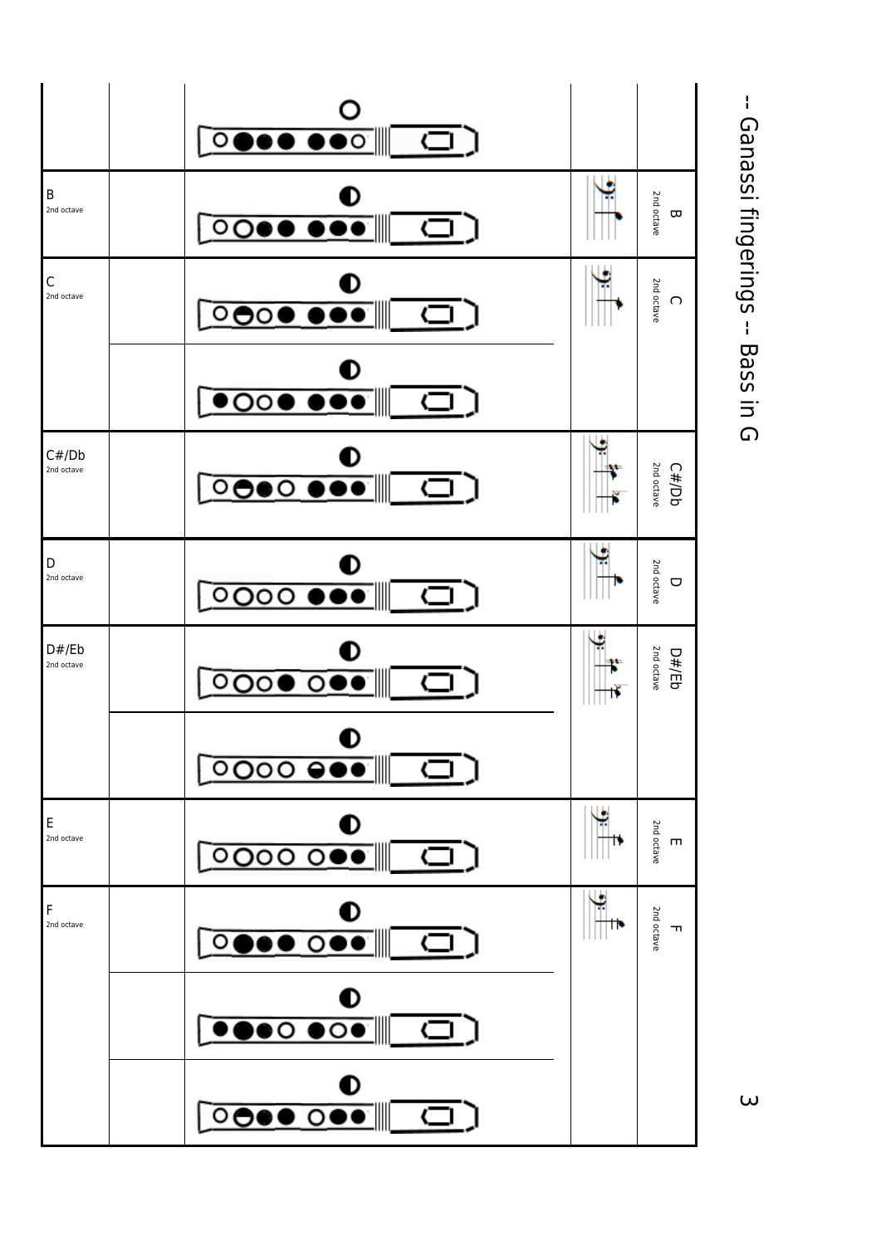

 -- Ganassi fingerings -- Bass in G -- Ganassi fingerings -- Bass in G

 $\omega$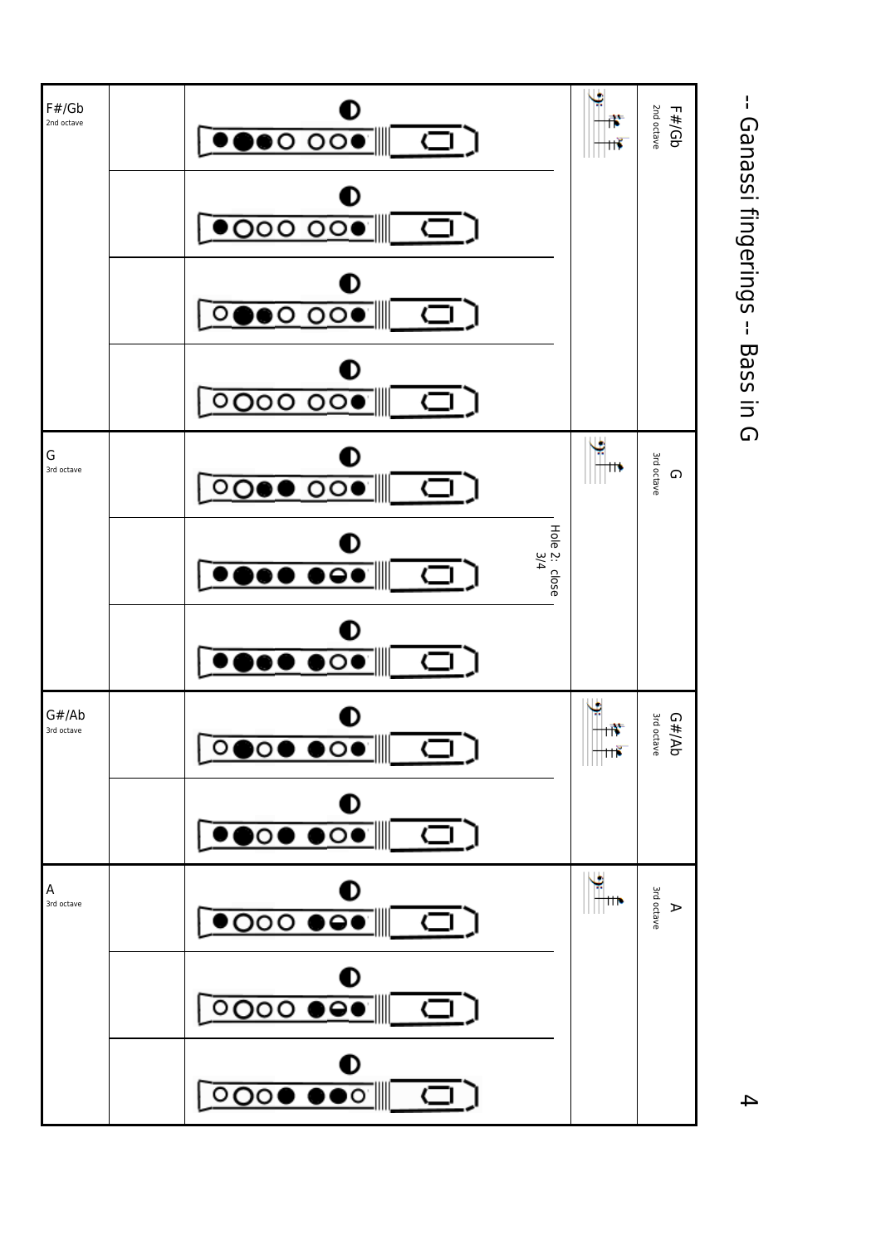

 -- Ganassi fingerings -- Bass in G -- Ganassi fingerings -- Bass in G

 $\overline{4}$